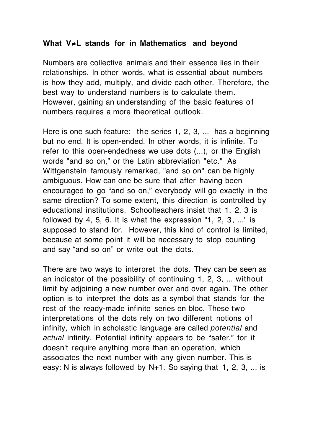## **What V**≠**L stands for in Mathematics and beyond**

Numbers are collective animals and their essence lies in their relationships. In other words, what is essential about numbers is how they add, multiply, and divide each other. Therefore, the best way to understand numbers is to calculate them. However, gaining an understanding of the basic features of numbers requires a more theoretical outlook.

Here is one such feature: the series 1, 2, 3, ... has a beginning but no end. It is open-ended. In other words, it is infinite. To refer to this open-endedness we use dots (...), or the English words "and so on," or the Latin abbreviation "etc." As Wittgenstein famously remarked, "and so on" can be highly ambiguous. How can one be sure that after having been encouraged to go "and so on," everybody will go exactly in the same direction? To some extent, this direction is controlled by educational institutions. Schoolteachers insist that 1, 2, 3 is followed by 4, 5, 6. It is what the expression "1, 2, 3, ..." is supposed to stand for. However, this kind of control is limited, because at some point it will be necessary to stop counting and say "and so on" or write out the dots.

There are two ways to interpret the dots. They can be seen as an indicator of the possibility of continuing 1, 2, 3, ... without limit by adjoining a new number over and over again. The other option is to interpret the dots as a symbol that stands for the rest of the ready-made infinite series en bloc. These two interpretations of the dots rely on two different notions of infinity, which in scholastic language are called *potential* and *actual* infinity. Potential infinity appears to be "safer," for it doesn't require anything more than an operation, which associates the next number with any given number. This is easy: N is always followed by N+1. So saying that 1, 2, 3, ... is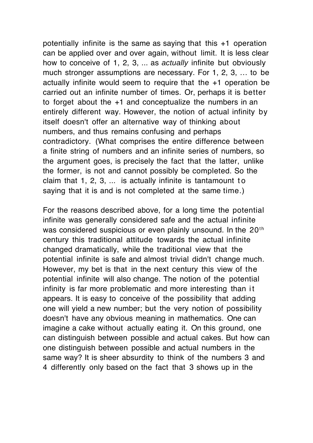potentially infinite is the same as saying that this +1 operation can be applied over and over again, without limit. It is less clear how to conceive of 1, 2, 3, ... as *actually* infinite but obviously much stronger assumptions are necessary. For 1, 2, 3, … to be actually infinite would seem to require that the +1 operation be carried out an infinite number of times. Or, perhaps it is better to forget about the +1 and conceptualize the numbers in an entirely different way. However, the notion of actual infinity by itself doesn't offer an alternative way of thinking about numbers, and thus remains confusing and perhaps contradictory. (What comprises the entire difference between a finite string of numbers and an infinite series of numbers, so the argument goes, is precisely the fact that the latter, unlike the former, is not and cannot possibly be completed. So the claim that  $1, 2, 3, \ldots$  is actually infinite is tantamount to saying that it is and is not completed at the same time.)

For the reasons described above, for a long time the potential infinite was generally considered safe and the actual infinite was considered suspicious or even plainly unsound. In the 20<sup>th</sup> century this traditional attitude towards the actual infinite changed dramatically, while the traditional view that the potential infinite is safe and almost trivial didn't change much. However, my bet is that in the next century this view of the potential infinite will also change. The notion of the potential infinity is far more problematic and more interesting than it appears. It is easy to conceive of the possibility that adding one will yield a new number; but the very notion of possibility doesn't have any obvious meaning in mathematics. One can imagine a cake without actually eating it. On this ground, one can distinguish between possible and actual cakes. But how can one distinguish between possible and actual numbers in the same way? It is sheer absurdity to think of the numbers 3 and 4 differently only based on the fact that 3 shows up in the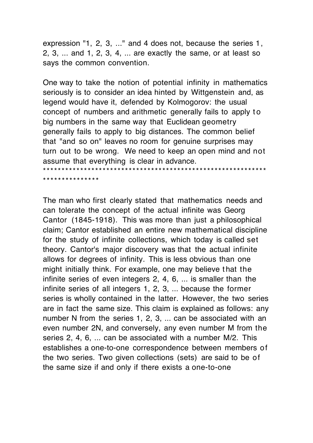expression "1, 2, 3, ..." and 4 does not, because the series 1, 2, 3, ... and 1, 2, 3, 4, ... are exactly the same, or at least so says the common convention.

One way to take the notion of potential infinity in mathematics seriously is to consider an idea hinted by Wittgenstein and, as legend would have it, defended by Kolmogorov: the usual concept of numbers and arithmetic generally fails to apply t o big numbers in the same way that Euclidean geometry generally fails to apply to big distances. The common belief that "and so on" leaves no room for genuine surprises may turn out to be wrong. We need to keep an open mind and not assume that everything is clear in advance.

\*\*\*\*\*\*\*\*\*\*\*\*\*\*\*\*\*\*\*\*\*\*\*\*\*\*\*\*\*\*\*\*\*\*\*\*\*\*\*\*\*\*\*\*\*\*\*\*\*\*\*\*\*\*\*\*\*\*\*\*

\*\*\*\*\*\*\*\*\*\*\*\*\*\*\*

The man who first clearly stated that mathematics needs and can tolerate the concept of the actual infinite was Georg Cantor (1845-1918). This was more than just a philosophical claim; Cantor established an entire new mathematical discipline for the study of infinite collections, which today is called set theory. Cantor's major discovery was that the actual infinite allows for degrees of infinity. This is less obvious than one might initially think. For example, one may believe t hat the infinite series of even integers 2, 4, 6, ... is smaller than the infinite series of all integers 1, 2, 3, ... because the former series is wholly contained in the latter. However, the two series are in fact the same size. This claim is explained as follows: any number N from the series 1, 2, 3, ... can be associated with an even number 2N, and conversely, any even number M from the series 2, 4, 6, ... can be associated with a number M/2. This establishes a one-to-one correspondence between members of the two series. Two given collections (sets) are said to be of the same size if and only if there exists a one-to-one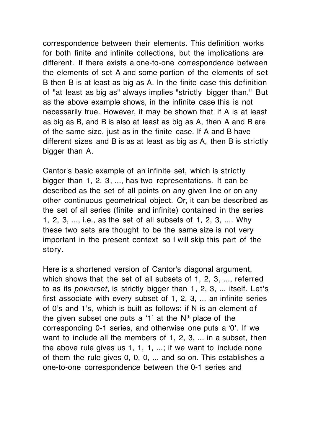correspondence between their elements. This definition works for both finite and infinite collections, but the implications are different. If there exists a one-to-one correspondence between the elements of set A and some portion of the elements of set B then B is at least as big as A. In the finite case this definition of "at least as big as" always implies "strictly bigger than." But as the above example shows, in the infinite case this is not necessarily true. However, it may be shown that if A is at least as big as B, and B is also at least as big as A, then A and B are of the same size, just as in the finite case. If A and B have different sizes and B is as at least as big as A, then B is strictly bigger than A.

Cantor's basic example of an infinite set, which is strictly bigger than 1, 2, 3, ..., has two representations. It can be described as the set of all points on any given line or on any other continuous geometrical object. Or, it can be described as the set of all series (finite and infinite) contained in the series 1, 2, 3, ..., i.e., as the set of all subsets of 1, 2, 3, .... Why these two sets are thought to be the same size is not very important in the present context so I will skip this part of the story.

Here is a shortened version of Cantor's diagonal argument, which shows that the set of all subsets of 1, 2, 3, ..., referred to as its *powerset*, is strictly bigger than 1, 2, 3, ... itself. Let's first associate with every subset of 1, 2, 3, ... an infinite series of 0's and 1's, which is built as follows: if N is an element of the given subset one puts a '1' at the  $N<sup>th</sup>$  place of the corresponding 0-1 series, and otherwise one puts a '0'. If we want to include all the members of 1, 2, 3, ... in a subset, then the above rule gives us 1, 1, 1, ...; if we want to include none of them the rule gives 0, 0, 0, ... and so on. This establishes a one-to-one correspondence between the 0-1 series and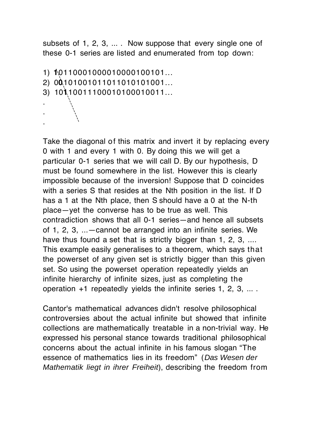subsets of 1, 2, 3, ... . Now suppose that every single one of these 0-1 series are listed and enumerated from top down:

```
1) 10110001000010000100101...
2) 00101001011011010101001...
3) 10110011100010100010011...
.
.
.
```
Take the diagonal of this matrix and invert it by replacing every 0 with 1 and every 1 with 0. By doing this we will get a particular 0-1 series that we will call D. By our hypothesis, D must be found somewhere in the list. However this is clearly impossible because of the inversion! Suppose that D coincides with a series S that resides at the Nth position in the list. If D has a 1 at the Nth place, then S should have a 0 at the N-th place—yet the converse has to be true as well. This contradiction shows that all 0-1 series—and hence all subsets of 1, 2, 3, ...—cannot be arranged into an infinite series. We have thus found a set that is strictly bigger than 1, 2, 3, ... This example easily generalises to a theorem, which says that the powerset of any given set is strictly bigger than this given set. So using the powerset operation repeatedly yields an infinite hierarchy of infinite sizes, just as completing the operation +1 repeatedly yields the infinite series 1, 2, 3, ... .

Cantor's mathematical advances didn't resolve philosophical controversies about the actual infinite but showed that infinite collections are mathematically treatable in a non-trivial way. He expressed his personal stance towards traditional philosophical concerns about the actual infinite in his famous slogan "The essence of mathematics lies in its freedom" (*Das Wesen der Mathematik liegt in ihrer Freiheit*), describing the freedom from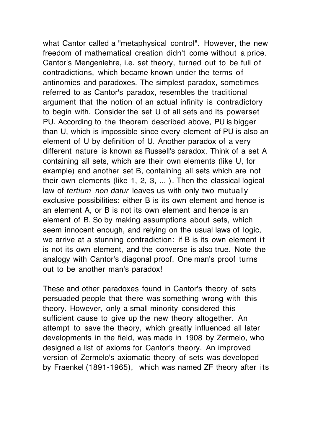what Cantor called a "metaphysical control". However, the new freedom of mathematical creation didn't come without a price. Cantor's Mengenlehre, i.e. set theory, turned out to be full of contradictions, which became known under the terms of antinomies and paradoxes. The simplest paradox, sometimes referred to as Cantor's paradox, resembles the traditional argument that the notion of an actual infinity is contradictory to begin with. Consider the set U of all sets and its powerset PU. According to the theorem described above, PU is bigger than U, which is impossible since every element of PU is also an element of U by definition of U. Another paradox of a very different nature is known as Russell's paradox. Think of a set A containing all sets, which are their own elements (like U, for example) and another set B, containing all sets which are not their own elements (like 1, 2, 3, ... ). Then the classical logical law of *tertium non datur* leaves us with only two mutually exclusive possibilities: either B is its own element and hence is an element A, or B is not its own element and hence is an element of B. So by making assumptions about sets, which seem innocent enough, and relying on the usual laws of logic, we arrive at a stunning contradiction: if B is its own element it is not its own element, and the converse is also true. Note the analogy with Cantor's diagonal proof. One man's proof turns out to be another man's paradox!

These and other paradoxes found in Cantor's theory of sets persuaded people that there was something wrong with this theory. However, only a small minority considered this sufficient cause to give up the new theory altogether. An attempt to save the theory, which greatly influenced all later developments in the field, was made in 1908 by Zermelo, who designed a list of axioms for Cantor's theory. An improved version of Zermelo's axiomatic theory of sets was developed by Fraenkel (1891-1965), which was named ZF theory after its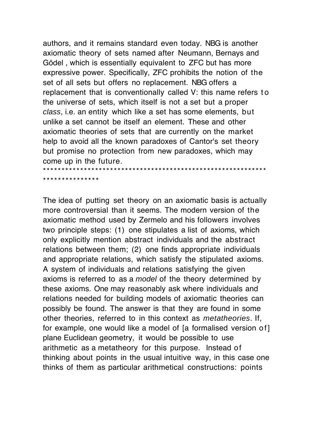authors, and it remains standard even today. NBG is another axiomatic theory of sets named after Neumann, Bernays and Gödel , which is essentially equivalent to ZFC but has more expressive power. Specifically, ZFC prohibits the notion of the set of all sets but offers no replacement. NBG offers a replacement that is conventionally called V: this name refers to the universe of sets, which itself is not a set but a proper *class*, i.e. an entity which like a set has some elements, but unlike a set cannot be itself an element. These and other axiomatic theories of sets that are currently on the market help to avoid all the known paradoxes of Cantor's set theory but promise no protection from new paradoxes, which may come up in the future. \*\*\*\*\*\*\*\*\*\*\*\*\*\*\*\*\*\*\*\*\*\*\*\*\*\*\*\*\*\*\*\*\*\*\*\*\*\*\*\*\*\*\*\*\*\*\*\*\*\*\*\*\*\*\*\*\*\*\*\*

\*\*\*\*\*\*\*\*\*\*\*\*\*\*\*

The idea of putting set theory on an axiomatic basis is actually more controversial than it seems. The modern version of the axiomatic method used by Zermelo and his followers involves two principle steps: (1) one stipulates a list of axioms, which only explicitly mention abstract individuals and the abstract relations between them; (2) one finds appropriate individuals and appropriate relations, which satisfy the stipulated axioms. A system of individuals and relations satisfying the given axioms is referred to as a *model* of the theory determined by these axioms. One may reasonably ask where individuals and relations needed for building models of axiomatic theories can possibly be found. The answer is that they are found in some other theories, referred to in this context as *metatheories*. If, for example, one would like a model of [a formalised version of] plane Euclidean geometry, it would be possible to use arithmetic as a metatheory for this purpose. Instead of thinking about points in the usual intuitive way, in this case one thinks of them as particular arithmetical constructions: points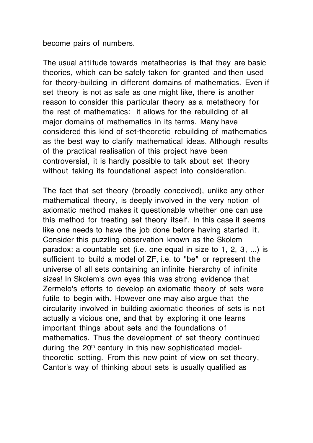become pairs of numbers.

The usual attitude towards metatheories is that they are basic theories, which can be safely taken for granted and then used for theory-building in different domains of mathematics. Even if set theory is not as safe as one might like, there is another reason to consider this particular theory as a metatheory for the rest of mathematics: it allows for the rebuilding of all major domains of mathematics in its terms. Many have considered this kind of set-theoretic rebuilding of mathematics as the best way to clarify mathematical ideas. Although results of the practical realisation of this project have been controversial, it is hardly possible to talk about set theory without taking its foundational aspect into consideration.

The fact that set theory (broadly conceived), unlike any other mathematical theory, is deeply involved in the very notion of axiomatic method makes it questionable whether one can use this method for treating set theory itself. In this case it seems like one needs to have the job done before having started it. Consider this puzzling observation known as the Skolem paradox: a countable set (i.e. one equal in size to 1, 2, 3, ...) is sufficient to build a model of ZF, i.e. to "be" or represent the universe of all sets containing an infinite hierarchy of infinite sizes! In Skolem's own eyes this was strong evidence that Zermelo's efforts to develop an axiomatic theory of sets were futile to begin with. However one may also argue that the circularity involved in building axiomatic theories of sets is not actually a vicious one, and that by exploring it one learns important things about sets and the foundations of mathematics. Thus the development of set theory continued during the 20th century in this new sophisticated modeltheoretic setting. From this new point of view on set theory, Cantor's way of thinking about sets is usually qualified as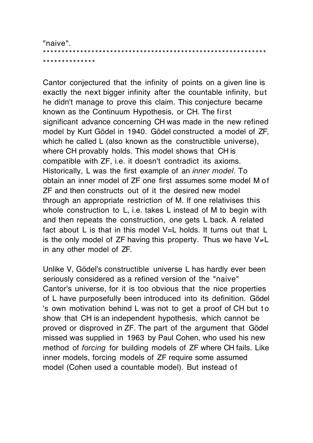"naive". \*\*\*\*\*\*\*\*\*\*\*\*\*\*\*\*\*\*\*\*\*\*\*\*\*\*\*\*\*\*\*\*\*\*\*\*\*\*\*\*\*\*\*\*\*\*\*\*\*\*\*\*\*\*\*\*\*\*\*\* \*\*\*\*\*\*\*\*\*\*\*\*\*\*

Cantor conjectured that the infinity of points on a given line is exactly the next bigger infinity after the countable infinity, but he didn't manage to prove this claim. This conjecture became known as the Continuum Hypothesis, or CH. The first significant advance concerning CH was made in the new refined model by Kurt Gödel in 1940. Gödel constructed a model of ZF, which he called L (also known as the constructible universe). where CH provably holds. This model shows that CH is compatible with ZF, i.e. it doesn't contradict its axioms. Historically, L was the first example of an *inner model*. To obtain an inner model of ZF one first assumes some model M of ZF and then constructs out of it the desired new model through an appropriate restriction of M. If one relativises this whole construction to L, i.e. takes L instead of M to begin with and then repeats the construction, one gets L back. A related fact about L is that in this model V=L holds. It turns out that L is the only model of ZF having this property. Thus we have V≠L in any other model of ZF.

Unlike V, Gödel's constructible universe L has hardly ever been seriously considered as a refined version of the "naive" Cantor's universe, for it is too obvious that the nice properties of L have purposefully been introduced into its definition. Gödel 's own motivation behind L was not to get a proof of CH but to show that CH is an independent hypothesis, which cannot be proved or disproved in ZF. The part of the argument that Gödel missed was supplied in 1963 by Paul Cohen, who used his new method of *forcing* for building models of ZF where CH fails. Like inner models, forcing models of ZF require some assumed model (Cohen used a countable model). But instead of